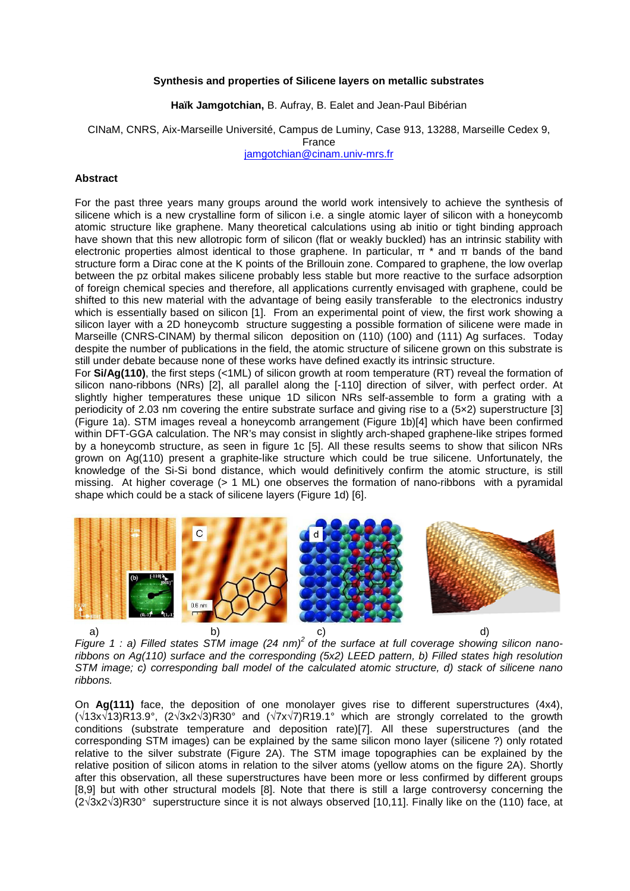## **Synthesis and properties of Silicene layers on metallic substrates**

**Haïk Jamgotchian,** B. Aufray, B. Ealet and Jean-Paul Bibérian

CINaM, CNRS, Aix-Marseille Université, Campus de Luminy, Case 913, 13288, Marseille Cedex 9,

France

jamgotchian@cinam.univ-mrs.fr

## **Abstract**

For the past three years many groups around the world work intensively to achieve the synthesis of silicene which is a new crystalline form of silicon i.e. a single atomic layer of silicon with a honeycomb atomic structure like graphene. Many theoretical calculations using ab initio or tight binding approach have shown that this new allotropic form of silicon (flat or weakly buckled) has an intrinsic stability with electronic properties almost identical to those graphene. In particular,  $\pi$  \* and π bands of the band structure form a Dirac cone at the K points of the Brillouin zone. Compared to graphene, the low overlap between the pz orbital makes silicene probably less stable but more reactive to the surface adsorption of foreign chemical species and therefore, all applications currently envisaged with graphene, could be shifted to this new material with the advantage of being easily transferable to the electronics industry which is essentially based on silicon [1]. From an experimental point of view, the first work showing a silicon layer with a 2D honeycomb structure suggesting a possible formation of silicene were made in Marseille (CNRS-CINAM) by thermal silicon deposition on (110) (100) and (111) Ag surfaces. Today despite the number of publications in the field, the atomic structure of silicene grown on this substrate is still under debate because none of these works have defined exactly its intrinsic structure.

For **Si/Ag(110)**, the first steps (<1ML) of silicon growth at room temperature (RT) reveal the formation of silicon nano-ribbons (NRs) [2], all parallel along the [-110] direction of silver, with perfect order. At slightly higher temperatures these unique 1D silicon NRs self-assemble to form a grating with a periodicity of 2.03 nm covering the entire substrate surface and giving rise to a (5×2) superstructure [3] (Figure 1a). STM images reveal a honeycomb arrangement (Figure 1b)[4] which have been confirmed within DFT-GGA calculation. The NR's may consist in slightly arch-shaped graphene-like stripes formed by a honeycomb structure, as seen in figure 1c [5]. All these results seems to show that silicon NRs grown on Ag(110) present a graphite-like structure which could be true silicene. Unfortunately, the knowledge of the Si-Si bond distance, which would definitively confirm the atomic structure, is still missing. At higher coverage (> 1 ML) one observes the formation of nano-ribbons with a pyramidal shape which could be a stack of silicene layers (Figure 1d) [6].



Figure 1 : a) Filled states STM image (24 nm)<sup>2</sup> of the surface at full coverage showing silicon nanoribbons on Ag(110) surface and the corresponding (5x2) LEED pattern, b) Filled states high resolution STM image; c) corresponding ball model of the calculated atomic structure, d) stack of silicene nano ribbons.

On **Ag(111)** face, the deposition of one monolayer gives rise to different superstructures (4x4), (√13x√13)R13.9°, (2√3x2√3)R30° and (√7x√7)R19.1° which are strongly correlated to the growth conditions (substrate temperature and deposition rate)[7]. All these superstructures (and the corresponding STM images) can be explained by the same silicon mono layer (silicene ?) only rotated relative to the silver substrate (Figure 2A). The STM image topographies can be explained by the relative position of silicon atoms in relation to the silver atoms (yellow atoms on the figure 2A). Shortly after this observation, all these superstructures have been more or less confirmed by different groups [8,9] but with other structural models [8]. Note that there is still a large controversy concerning the (2√3x2√3)R30° superstructure since it is not always observed [10,11]. Finally like on the (110) face, at